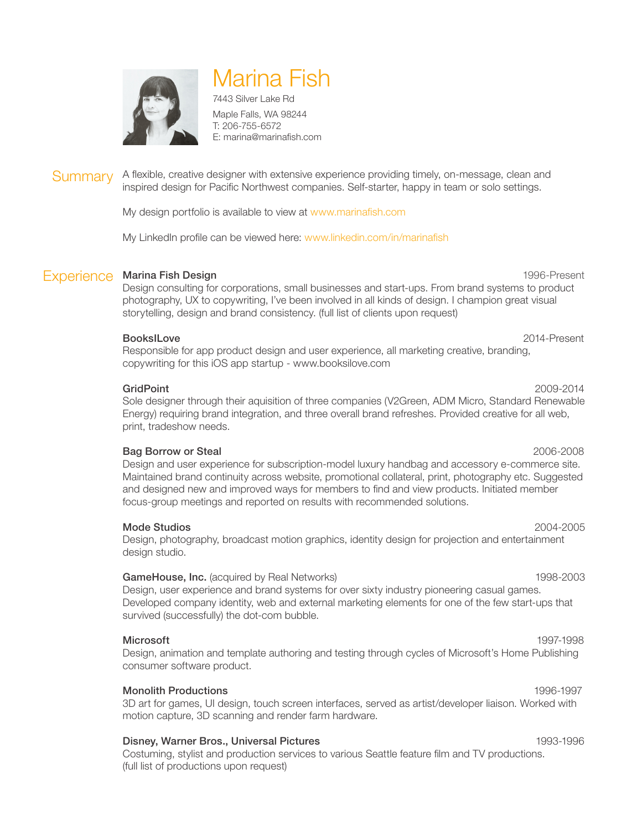

# Marina Fish

7443 Silver Lake Rd Maple Falls, WA 98244 T: 206-755-6572 E: marina@marinafish.com

#### A flexible, creative designer with extensive experience providing timely, on-message, clean and inspired design for Pacific Northwest companies. Self-starter, happy in team or solo settings. **Summary**

My design portfolio is available to view at www.marinafish.com

My LinkedIn profile can be viewed here: www.linkedin.com/in/marinafish

## Experience Marina Fish Design **1996-Present** 1996-Present

Design consulting for corporations, small businesses and start-ups. From brand systems to product photography, UX to copywriting, I've been involved in all kinds of design. I champion great visual storytelling, design and brand consistency. (full list of clients upon request)

#### BooksILove 2014-Present

Responsible for app product design and user experience, all marketing creative, branding, copywriting for this iOS app startup - www.booksilove.com

### GridPoint 2009-2014

Sole designer through their aquisition of three companies (V2Green, ADM Micro, Standard Renewable Energy) requiring brand integration, and three overall brand refreshes. Provided creative for all web, print, tradeshow needs.

### Bag Borrow or Steal 2006-2008

Design and user experience for subscription-model luxury handbag and accessory e-commerce site. Maintained brand continuity across website, promotional collateral, print, photography etc. Suggested and designed new and improved ways for members to find and view products. Initiated member focus-group meetings and reported on results with recommended solutions.

#### Mode Studios 2004-2005

Design, photography, broadcast motion graphics, identity design for projection and entertainment design studio.

### GameHouse, Inc. (acquired by Real Networks) 1998-2003

Design, user experience and brand systems for over sixty industry pioneering casual games. Developed company identity, web and external marketing elements for one of the few start-ups that survived (successfully) the dot-com bubble.

#### Microsoft 1997-1998

Design, animation and template authoring and testing through cycles of Microsoft's Home Publishing consumer software product.

### Monolith Productions 1996-1997

3D art for games, UI design, touch screen interfaces, served as artist/developer liaison. Worked with motion capture, 3D scanning and render farm hardware.

### Disney, Warner Bros., Universal Pictures 1993-1996

Costuming, stylist and production services to various Seattle feature film and TV productions. (full list of productions upon request)